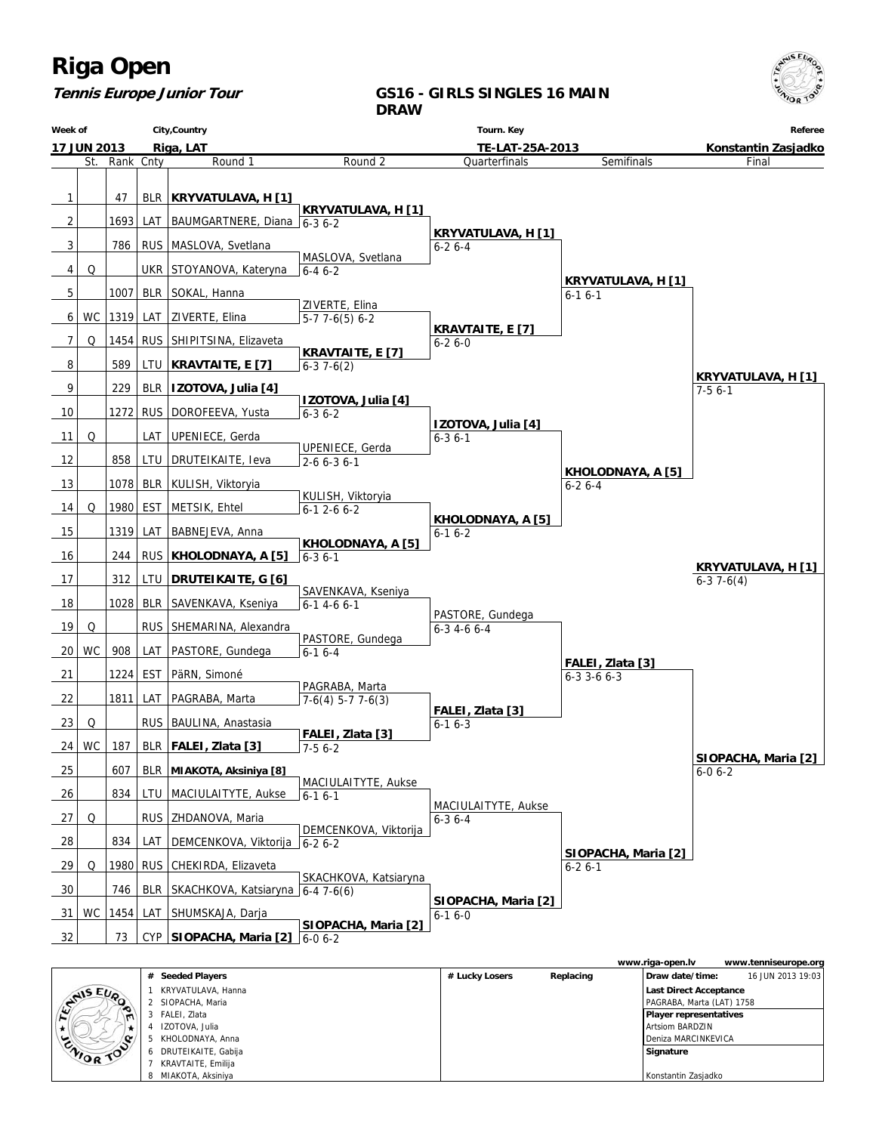

## **Tennis Europe Junior Tour**

### **GS16 - GIRLS SINGLES 16 MAIN DRAW**

| Week of |                    |           |            | City, Country                          |                                       | Tourn. Key                                |                                       | Referee                                  |
|---------|--------------------|-----------|------------|----------------------------------------|---------------------------------------|-------------------------------------------|---------------------------------------|------------------------------------------|
|         | <b>17 JUN 2013</b> |           |            | Riga, LAT                              | TE-LAT-25A-2013                       |                                           |                                       | Konstantin Zasjadko                      |
|         | St.                | Rank Cnty |            | Round 1                                | Round 2                               | Quarterfinals                             | Semifinals                            | Final                                    |
| 1       |                    | 47        |            | BLR   KRYVATULAVA, H [1]               |                                       |                                           |                                       |                                          |
|         |                    |           |            |                                        | <b>KRYVATULAVA, H [1]</b>             |                                           |                                       |                                          |
| 2       |                    | 1693      | LAT        | BAUMGARTNERE, Diana 6-3 6-2            |                                       | <b>KRYVATULAVA, H [1]</b>                 |                                       |                                          |
| 3       |                    | 786       |            | RUS   MASLOVA, Svetlana                | MASLOVA, Svetlana                     | $6 - 26 - 4$                              |                                       |                                          |
| 4       | Q                  |           |            | UKR STOYANOVA, Kateryna                | $6 - 46 - 2$                          |                                           |                                       |                                          |
| 5       |                    | 1007      |            | BLR   SOKAL, Hanna                     |                                       |                                           | <b>KRYVATULAVA, H [1]</b><br>$6-16-1$ |                                          |
| 6       | <b>WC</b>          |           |            | 1319 LAT   ZIVERTE, Elina              | ZIVERTE, Elina<br>$5-77-6(5)6-2$      |                                           |                                       |                                          |
| 7       | Q                  | 1454      |            | RUS SHIPITSINA, Elizaveta              |                                       | <b>KRAVTAITE, E [7]</b>                   |                                       |                                          |
|         |                    |           |            |                                        | <b>KRAVTAITE, E [7]</b>               | $6 - 26 - 0$                              |                                       |                                          |
| 8       |                    | 589       |            | LTU   KRAVTAITE, E [7]                 | $6-37-6(2)$                           |                                           |                                       | KRYVATULAVA, H [1]                       |
| 9       |                    | 229       |            | BLR   IZOTOVA, Julia [4]               | <b>IZOTOVA, Julia [4]</b>             |                                           |                                       | $7-56-1$                                 |
| 10      |                    | 1272      |            | RUS   DOROFEEVA, Yusta                 | $6 - 36 - 2$                          |                                           |                                       |                                          |
| 11      | Q                  |           |            | LAT UPENIECE, Gerda                    |                                       | <b>IZOTOVA, Julia [4]</b><br>$6 - 36 - 1$ |                                       |                                          |
| 12      |                    | 858       | LTU        | DRUTEIKAITE, Ieva                      | UPENIECE, Gerda                       |                                           |                                       |                                          |
|         |                    |           |            |                                        | $2 - 6 6 - 3 6 - 1$                   |                                           | KHOLODNAYA, A [5]                     |                                          |
| 13      |                    | 1078      |            | BLR   KULISH, Viktoryia                | KULISH, Viktoryia                     |                                           | $6 - 26 - 4$                          |                                          |
| 14      | Q                  | 1980      | EST        | METSIK, Ehtel                          | $6-12-66-2$                           | KHOLODNAYA, A [5]                         |                                       |                                          |
| 15      |                    | 1319      | LAT        | BABNEJEVA, Anna                        |                                       | $6-16-2$                                  |                                       |                                          |
| 16      |                    | 244       | <b>RUS</b> | KHOLODNAYA, A [5]                      | KHOLODNAYA, A [5]<br>$6 - 36 - 1$     |                                           |                                       |                                          |
| 17      |                    | 312       | LTU        | DRUTEIKAITE, G [6]                     |                                       |                                           |                                       | <b>KRYVATULAVA, H [1]</b><br>$6-37-6(4)$ |
| 18      |                    | 1028      |            |                                        | SAVENKAVA, Kseniya                    |                                           |                                       |                                          |
|         |                    |           | BLR        | SAVENKAVA, Kseniya                     | $6-1$ 4-6 6-1                         | PASTORE, Gundega                          |                                       |                                          |
| 19      | Q                  |           | <b>RUS</b> | SHEMARINA, Alexandra                   | PASTORE, Gundega                      | $6 - 3$ 4 - 6 6 - 4                       |                                       |                                          |
| 20      | <b>WC</b>          | 908       |            | LAT   PASTORE, Gundega                 | $6-16-4$                              |                                           | FALEI, Zlata [3]                      |                                          |
| 21      |                    | 1224 EST  |            | PäRN, Simoné                           |                                       |                                           | $6-3$ 3-6 $6-3$                       |                                          |
| 22      |                    | 1811      | LAT        | PAGRABA, Marta                         | PAGRABA, Marta<br>$7-6(4)$ 5-7 7-6(3) |                                           |                                       |                                          |
| 23      | Q                  |           | <b>RUS</b> | BAULINA, Anastasia                     |                                       | FALEI, Zlata [3]<br>$6-16-3$              |                                       |                                          |
| 24      | <b>WC</b>          | 187       |            | BLR   FALEI, Zlata [3]                 | FALEI, Zlata [3]                      |                                           |                                       |                                          |
|         |                    |           |            |                                        | $7-56-2$                              |                                           |                                       | SIOPACHA, Maria [2]                      |
| 25      |                    | 607       |            | BLR   MIAKOTA, Aksiniya [8]            | MACIULAITYTE, Aukse                   |                                           |                                       | $6 - 06 - 2$                             |
| 26      |                    | 834       |            | LTU   MACIULAITYTE, Aukse              | $6 - 16 - 1$                          | MACIULAITYTE, Aukse                       |                                       |                                          |
| 27      | Q                  |           |            | RUS   ZHDANOVA, Maria                  |                                       | $6 - 36 - 4$                              |                                       |                                          |
| 28      |                    | 834       | LAT        | DEMCENKOVA, Viktorija   6-2 6-2        | DEMCENKOVA, Viktorija                 |                                           |                                       |                                          |
| 29      | Q                  |           |            | 1980   RUS   CHEKIRDA, Elizaveta       |                                       |                                           | SIOPACHA, Maria [2]<br>$6 - 26 - 1$   |                                          |
| 30      |                    | 746       |            | BLR   SKACHKOVA, Katsiaryna 6-4 7-6(6) | SKACHKOVA, Katsiaryna                 |                                           |                                       |                                          |
|         |                    |           |            |                                        |                                       | SIOPACHA, Maria [2]                       |                                       |                                          |
| 31      | <b>WC</b>          | 1454      | LAT        | SHUMSKAJA, Darja                       | SIOPACHA, Maria [2]                   | $6-16-0$                                  |                                       |                                          |
| 32      |                    | 73        |            | CYP SIOPACHA, Maria [2] 6-0 6-2        |                                       |                                           |                                       |                                          |

|                |                       |                |           | www.riga-open.lv              | www.tenniseurope.org |
|----------------|-----------------------|----------------|-----------|-------------------------------|----------------------|
|                | # Seeded Players      | # Lucky Losers | Replacing | Draw date/time:               | 16 JUN 2013 19:03    |
|                | KRYVATULAVA, Hanna    |                |           | <b>Last Direct Acceptance</b> |                      |
| CANIS EUP      | 2 SIOPACHA, Maria     |                |           | PAGRABA, Marta (LAT) 1758     |                      |
| $\blacksquare$ | FALEI. Zlata          |                |           | <b>Player representatives</b> |                      |
|                | IZOTOVA, Julia        |                |           | <b>Artsiom BARDZIN</b>        |                      |
|                | KHOLODNAYA, Anna      |                |           | I Deniza MARCINKEVICA         |                      |
| ZNIOR TOO      | 6 DRUTEIKAITE, Gabija |                |           | Signature                     |                      |
|                | KRAVTAITE, Emilija    |                |           |                               |                      |
|                | MIAKOTA, Aksiniya     |                |           | Konstantin Zasjadko           |                      |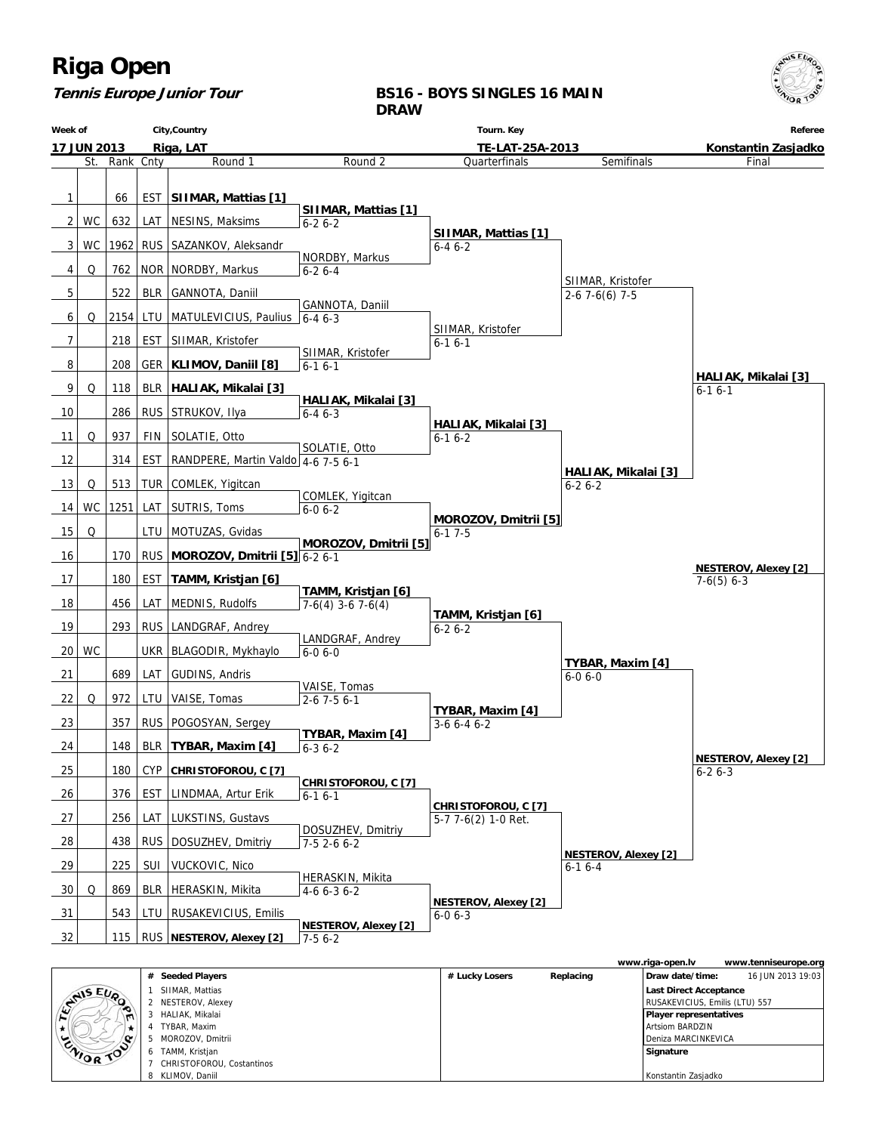

## **Tennis Europe Junior Tour**

### **BS16 - BOYS SINGLES 16 MAIN DRAW**

| City, Country<br>Week of |                    | Tourn. Key |            |                                    | Referee                           |                                             |                                         |                             |
|--------------------------|--------------------|------------|------------|------------------------------------|-----------------------------------|---------------------------------------------|-----------------------------------------|-----------------------------|
|                          | <b>17 JUN 2013</b> |            |            | Riga, LAT                          |                                   | TE-LAT-25A-2013                             |                                         | Konstantin Zasjadko         |
|                          | St.                | Rank Cnty  |            | Round 1                            | Round <sub>2</sub>                | Quarterfinals                               | Semifinals                              | Final                       |
| 1                        |                    | 66         | EST        | SIIMAR, Mattias [1]                |                                   |                                             |                                         |                             |
|                          |                    |            |            |                                    | SIIMAR, Mattias [1]               |                                             |                                         |                             |
| 2                        | WC                 | 632        |            | LAT   NESINS, Maksims              | $6 - 26 - 2$                      | SIIMAR, Mattias [1]                         |                                         |                             |
| 3                        | WC                 |            |            | 1962 RUS SAZANKOV, Aleksandr       | NORDBY, Markus                    | $6 - 46 - 2$                                |                                         |                             |
| 4                        | Q                  | 762        |            | NOR   NORDBY, Markus               | $6 - 26 - 4$                      |                                             | SIIMAR, Kristofer                       |                             |
| 5                        |                    | 522        | <b>BLR</b> | GANNOTA, Daniil                    |                                   |                                             | $2-67-6(6)7-5$                          |                             |
| 6                        | Q                  | 2154 LTU   |            | MATULEVICIUS, Paulius $6-46-3$     | GANNOTA, Daniil                   |                                             |                                         |                             |
| 7                        |                    | 218        |            | EST   SIIMAR, Kristofer            |                                   | SIIMAR, Kristofer<br>$6 - 16 - 1$           |                                         |                             |
| 8                        |                    | 208        |            | GER   KLIMOV, Daniil [8]           | SIIMAR, Kristofer<br>$6 - 16 - 1$ |                                             |                                         |                             |
| 9                        |                    |            |            |                                    |                                   |                                             |                                         | HALIAK, Mikalai [3]         |
|                          | Q                  | 118        |            | BLR   HALIAK, Mikalai [3]          | HALIAK, Mikalai [3]               |                                             |                                         | $6 - 16 - 1$                |
| 10                       |                    | 286        |            | RUS STRUKOV, Ilya                  | $6 - 46 - 3$                      | HALIAK, Mikalai [3]                         |                                         |                             |
| 11                       | Q                  | 937        | FIN        | SOLATIE, Otto                      | SOLATIE, Otto                     | $6 - 16 - 2$                                |                                         |                             |
| 12                       |                    | 314        | <b>EST</b> | RANDPERE, Martin Valdo 4-6 7-5 6-1 |                                   |                                             | HALIAK, Mikalai [3]                     |                             |
| 13                       | Q                  | 513        |            | TUR   COMLEK, Yigitcan             |                                   |                                             | $6 - 26 - 2$                            |                             |
| 14                       | <b>WC</b>          |            |            | 1251 LAT SUTRIS, Toms              | COMLEK, Yigitcan<br>$6 - 0 6 - 2$ |                                             |                                         |                             |
| 15                       | Q                  |            | LTU        | MOTUZAS, Gvidas                    |                                   | MOROZOV, Dmitrii [5]<br>$6-17-5$            |                                         |                             |
| 16                       |                    | 170        |            | RUS MOROZOV, Dmitrii [5] $6-2$ 6-1 | MOROZOV, Dmitrii [5]              |                                             |                                         |                             |
|                          |                    |            |            |                                    |                                   |                                             |                                         | <b>NESTEROV, Alexey [2]</b> |
| 17                       |                    | 180        | EST        | TAMM, Kristjan [6]                 | TAMM, Kristjan [6]                |                                             |                                         | $7-6(5)$ 6-3                |
| 18                       |                    | 456        | LAT        | MEDNIS, Rudolfs                    | $7-6(4)$ 3-6 7-6(4)               | TAMM, Kristjan [6]                          |                                         |                             |
| 19                       |                    | 293        |            | RUS   LANDGRAF, Andrey             | LANDGRAF, Andrey                  | $6 - 26 - 2$                                |                                         |                             |
| 20                       | WC                 |            |            | UKR   BLAGODIR, Mykhaylo           | $6 - 06 - 0$                      |                                             |                                         |                             |
| 21                       |                    | 689        | LAT        | GUDINS, Andris                     |                                   |                                             | TYBAR, Maxim [4]<br>$6 - 06 - 0$        |                             |
| 22                       | Q                  | 972        | LTU        | VAISE, Tomas                       | VAISE, Tomas<br>$2 - 67 - 56 - 1$ |                                             |                                         |                             |
| 23                       |                    | 357        |            | RUS   POGOSYAN, Sergey             |                                   | TYBAR, Maxim [4]<br>$3-66-46-2$             |                                         |                             |
| 24                       |                    | 148        |            | BLR   TYBAR, Maxim [4]             | TYBAR, Maxim [4]                  |                                             |                                         |                             |
|                          |                    |            |            |                                    | $6 - 36 - 2$                      |                                             |                                         | <b>NESTEROV, Alexey [2]</b> |
| 25                       |                    | 180        |            | CYP CHRISTOFOROU, C [7]            | CHRISTOFOROU, C [7]               |                                             |                                         | $6 - 26 - 3$                |
| 26                       |                    | 376        | EST        | LINDMAA, Artur Erik                | $6 - 16 - 1$                      | CHRISTOFOROU, C [7]                         |                                         |                             |
| 27                       |                    | 256        | LAT        | LUKSTINS, Gustavs                  | DOSUZHEV, Dmitriy                 | 5-7 7-6(2) 1-0 Ret.                         |                                         |                             |
| 28                       |                    | 438        |            | RUS   DOSUZHEV, Dmitriy            | $7-52-66-2$                       |                                             |                                         |                             |
| 29                       |                    | 225        | SUI        | VUCKOVIC, Nico                     |                                   |                                             | <b>NESTEROV, Alexey [2]</b><br>$6-16-4$ |                             |
| 30                       | Q                  | 869        |            | BLR   HERASKIN, Mikita             | HERASKIN, Mikita<br>$4-66-36-2$   |                                             |                                         |                             |
| 31                       |                    | 543        |            | LTU   RUSAKEVICIUS, Emilis         |                                   | <b>NESTEROV, Alexey [2]</b><br>$6 - 06 - 3$ |                                         |                             |
| 32                       |                    |            |            |                                    | <b>NESTEROV, Alexey [2]</b>       |                                             |                                         |                             |
|                          |                    |            |            | 115   RUS   NESTEROV, Alexey [2]   | 7-5 6-2                           |                                             |                                         |                             |

|                  |                           |                |           | www.riga-open.lv               | www.tenniseurope.org |
|------------------|---------------------------|----------------|-----------|--------------------------------|----------------------|
|                  | # Seeded Players          | # Lucky Losers | Replacing | Draw date/time:                | 16 JUN 2013 19:03    |
| <b>EVALS EVA</b> | SIIMAR, Mattias           |                |           | <b>Last Direct Acceptance</b>  |                      |
|                  | 2 NESTEROV, Alexey        |                |           | RUSAKEVICIUS, Emilis (LTU) 557 |                      |
| $\blacksquare$   | HALIAK, Mikalai           |                |           | <b>Player representatives</b>  |                      |
|                  | TYBAR, Maxim              |                |           | Artsiom BARDZIN                |                      |
|                  | MOROZOV, Dmitrii          |                |           | Deniza MARCINKEVICA            |                      |
| ZNIOR TOO        | 6 TAMM, Kristjan          |                |           | Signature                      |                      |
|                  | CHRISTOFOROU, Costantinos |                |           |                                |                      |
|                  | 8 KLIMOV, Daniil          |                |           | Konstantin Zasjadko            |                      |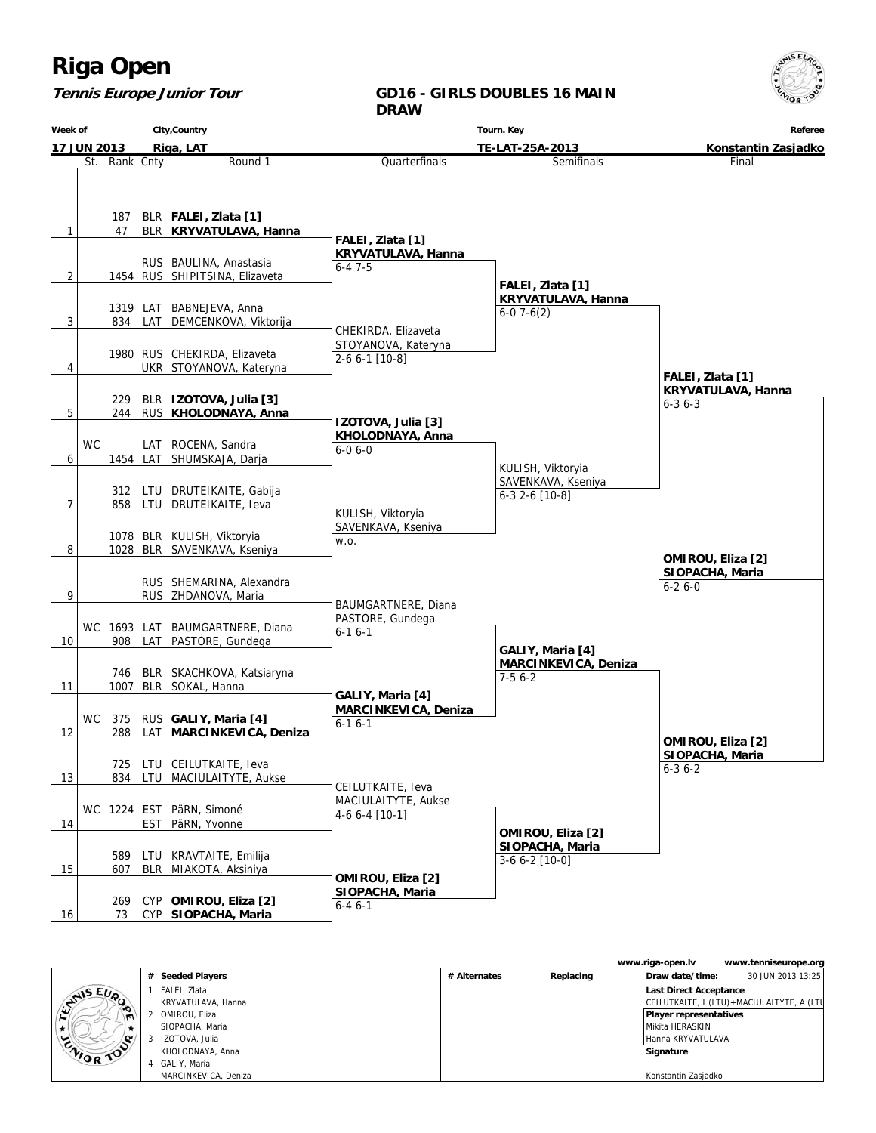### **Tennis Europe Junior Tour**

#### **GD16 - GIRLS DOUBLES 16 MAIN DRAW**

**Week of 17 JUN 2013 City,Country Riga, LAT Tourn. Key TE-LAT-25A-2013 Referee Konstantin Zasjadko** St. Rank Cnty **Round 1**  $1 | 47$ 187 BLR BLR **FALEI, Zlata [1] KRYVATULAVA, Hanna**  $2$  | 1454 RUS RUS | BAULINA, Anastasia SHIPITSINA, Elizaveta  $3$  834 1319 LAT LAT BABNEJEVA, Anna DEMCENKOVA, Viktorija 4 1980 UKR RUS CHEKIRDA, Elizaveta STOYANOVA, Kateryna  $5$  | 244 229 RUS BLR **IZOTOVA, Julia [3] KHOLODNAYA, Anna** 6 **WC** 1454 LAT LAT | ROCENA, Sandra SHUMSKAJA, Darja 7 858 312 LTU LTU DRUTEIKAITE, Gabija DRUTEIKAITE, Ieva 8 1028 1078 BLR BLR | KULISH, Viktoryia SAVENKAVA, Kseniya 9 | RUS RUS SHEMARINA, Alexandra ZHDANOVA, Maria 10 WC 908 1693 LAT LAT BAUMGARTNERE, Diana PASTORE, Gundega 11 1007 746 BLR BLR SKACHKOVA, Katsiaryna SOKAL, Hanna 12 WC 288 375 LAT RUS **GALIY, Maria [4] MARCINKEVICA, Deniza** 13 834 725 LTU LTU CEILUTKAITE, Ieva MACIULAITYTE, Aukse 14 WC 1224 EST EST PäRN, Simoné PäRN, Yvonne 15 607 589 BLR LTU KRAVTAITE, Emilija MIAKOTA, Aksiniya 16 73 269 CYP  **SIOPACHA, Maria** CYP **OMIROU, Eliza [2]** Quarterfinals  **FALEI, Zlata [1] KRYVATULAVA, Hanna** 6-4 7-5 CHEKIRDA, Elizaveta STOYANOVA, Kateryna 2-6 6-1 [10-8]  **IZOTOVA, Julia [3] KHOLODNAYA, Anna** 6-0 6-0 KULISH, Viktoryia SAVENKAVA, Kseniya w.o. BAUMGARTNERE, Diana PASTORE, Gundega 6-1 6-1  **GALIY, Maria [4] MARCINKEVICA, Deniza** 6-1 6-1 CEILUTKAITE, Ieva MACIULAITYTE, Aukse 4-6 6-4 [10-1]  **OMIROU, Eliza [2] SIOPACHA, Maria** 6-4 6-1 Semifinals  **FALEI, Zlata [1] KRYVATULAVA, Hanna** 6-0 7-6(2) KULISH, Viktoryia SAVENKAVA, Kseniya 6-3 2-6 [10-8]  **GALIY, Maria [4] MARCINKEVICA, Deniza** 7-5 6-2  **OMIROU, Eliza [2] SIOPACHA, Maria** 3-6 6-2 [10-0] Final  **FALEI, Zlata [1] KRYVATULAVA, Hanna** 6-3 6-3  **OMIROU, Eliza [2] SIOPACHA, Maria** 6-3 6-2  **OMIROU, Eliza [2] SIOPACHA, Maria** 6-2 6-0

|                       |   |                      |              |           | www.riga-open.lv       | www.tenniseurope.org                      |  |
|-----------------------|---|----------------------|--------------|-----------|------------------------|-------------------------------------------|--|
|                       |   | # Seeded Players     | # Alternates | Replacing | Draw date/time:        | 30 JUN 2013 13:25                         |  |
|                       |   | FALEI, Zlata         |              |           | Last Direct Acceptance |                                           |  |
| <b>STAIS EUP</b><br>∼ |   | KRYVATULAVA, Hanna   |              |           |                        | CEILUTKAITE, I (LTU)+MACIULAITYTE, A (LTU |  |
| $\blacksquare$        |   | OMIROU, Eliza        |              |           | Player representatives |                                           |  |
|                       |   | SIOPACHA, Maria      |              |           | l Mikita HERASKIN      |                                           |  |
| ENIOR TOP             |   | IZOTOVA, Julia       |              |           | Hanna KRYVATULAVA      |                                           |  |
|                       |   | KHOLODNAYA, Anna     |              |           | Signature              |                                           |  |
|                       | 4 | GALIY, Maria         |              |           |                        |                                           |  |
|                       |   | MARCINKEVICA, Deniza |              |           | Konstantin Zasjadko    |                                           |  |

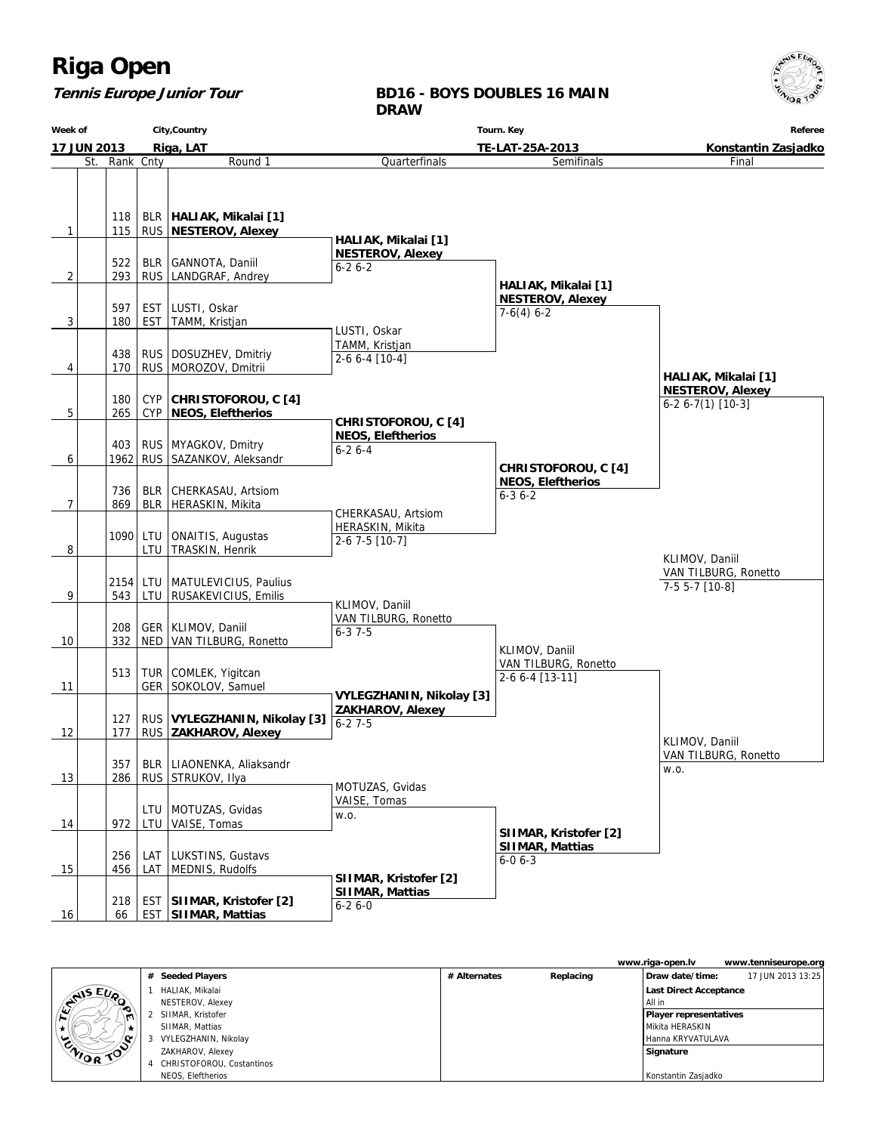### **Tennis Europe Junior Tour**

#### **BD16 - BOYS DOUBLES 16 MAIN DRAW**

**Week of 17 JUN 2013 City,Country Riga, LAT Tourn. Key TE-LAT-25A-2013 Referee Konstantin Zasjadko** St. Rank Cnty **Round 1**  $1$  | 115 118 RUS  **NESTEROV, Alexey** BLR **HALIAK, Mikalai [1]**  $2 \mid$  293 522 RUS BLR GANNOTA, Daniil LANDGRAF, Andrey  $3$  | 180 597 EST EST LUSTI, Oskar TAMM, Kristjan 4 170 438 RUS RUS | DOSUZHEV, Dmitriy MOROZOV, Dmitrii 5 265 180 CYP CYP **CHRISTOFOROU, C [4] NEOS, Eleftherios**  $6$  1962 403 RUS RUS | MYAGKOV, Dmitry SAZANKOV, Aleksandr 7 869 736 BLR BLR CHERKASAU, Artsiom HERASKIN, Mikita 8 1090 LTU LTU | ONAITIS, Augustas TRASKIN, Henrik 9 543 2154 LTU LTU | MATULEVICIUS, Paulius RUSAKEVICIUS, Emilis 10 332 208 NED GER KLIMOV, Daniil VAN TILBURG, Ronetto 11 513 GER TUR COMLEK, Yigitcan SOKOLOV, Samuel 12 177 127 RUS RUS **VYLEGZHANIN, Nikolay [3] ZAKHAROV, Alexey** 13 | 286 357 RUS BLR LIAONENKA, Aliaksandr STRUKOV, Ilya 14 | 972 | LTU LTU | MOTUZAS, Gvidas VAISE, Tomas 15 | 456 256 LAT LAT LUKSTINS, Gustavs MEDNIS, Rudolfs 16 66 218 EST  **SIIMAR, Mattias** EST **SIIMAR, Kristofer [2]** Quarterfinals  **HALIAK, Mikalai [1] NESTEROV, Alexey** 6-2 6-2 LUSTI, Oskar TAMM, Kristjan 2-6 6-4 [10-4]  **CHRISTOFOROU, C [4] NEOS, Eleftherios** 6-2 6-4 CHERKASAU, Artsiom HERASKIN, Mikita 2-6 7-5 [10-7] KLIMOV, Daniil VAN TILBURG, Ronetto  $6 - 37 - 5$  **VYLEGZHANIN, Nikolay [3] ZAKHAROV, Alexey** 6-2 7-5 MOTUZAS, Gvidas VAISE, Tomas w.o.  **SIIMAR, Kristofer [2] SIIMAR, Mattias** 6-2 6-0 Semifinals  **HALIAK, Mikalai [1] NESTEROV, Alexey**  $7-6(4)$  6-2  **CHRISTOFOROU, C [4] NEOS, Eleftherios** 6-3 6-2 KLIMOV, Daniil VAN TILBURG, Ronetto 2-6 6-4 [13-11]  **SIIMAR, Kristofer [2] SIIMAR, Mattias** 6-0 6-3 Final  **HALIAK, Mikalai [1] NESTEROV, Alexey** 6-2 6-7(1) [10-3] KLIMOV, Daniil VAN TILBURG, Ronetto w.o. KLIMOV, Daniil VAN TILBURG, Ronetto 7-5 5-7 [10-8]

|                |   |                           |              |           | www.riga-open.lv              | www.tenniseurope.org |
|----------------|---|---------------------------|--------------|-----------|-------------------------------|----------------------|
|                | # | <b>Seeded Players</b>     | # Alternates | Replacing | Draw date/time:               | 17 JUN 2013 13:25    |
|                |   | HALIAK, Mikalai           |              |           | Last Direct Acceptance        |                      |
| <b>SANSEUP</b> |   | NESTEROV, Alexey          |              |           | l All in                      |                      |
| $\blacksquare$ |   | SIIMAR, Kristofer         |              |           | <b>Player representatives</b> |                      |
| * 1            |   | SIIMAR, Mattias           |              |           | l Mikita HERASKIN             |                      |
| ENIOR TOP      |   | VYLEGZHANIN, Nikolay      |              |           | l Hanna KRYVATULAVA           |                      |
|                |   | ZAKHAROV, Alexey          |              |           | Signature                     |                      |
|                |   | CHRISTOFOROU, Costantinos |              |           |                               |                      |
|                |   | NEOS. Eleftherios         |              |           | Konstantin Zasjadko           |                      |

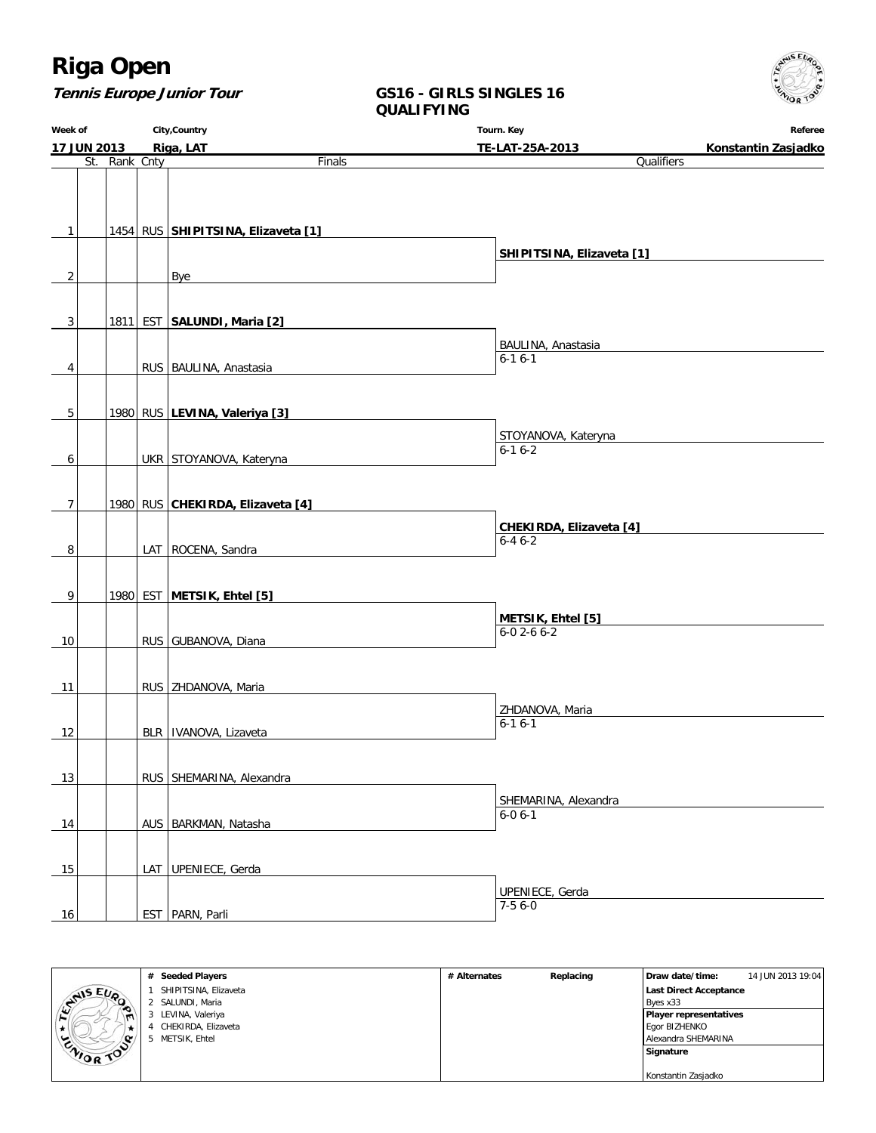

| <b>Tennis Europe Junior Tour</b> |  |
|----------------------------------|--|
|----------------------------------|--|

### **GS16 - GIRLS SINGLES 16 QUALIFYING**

| Week of        |               | City, Country                      | Tourn. Key                             |                     |
|----------------|---------------|------------------------------------|----------------------------------------|---------------------|
| 17 JUN 2013    |               | Riga, LAT                          | TE-LAT-25A-2013                        | Konstantin Zasjadko |
|                | St. Rank Cnty | Finals                             | Qualifiers                             |                     |
|                |               |                                    |                                        |                     |
|                |               |                                    |                                        |                     |
|                |               |                                    |                                        |                     |
| $\mathbf{1}$   |               | 1454 RUS SHIPITSINA, Elizaveta [1] |                                        |                     |
|                |               |                                    | SHIPITSINA, Elizaveta [1]              |                     |
| $\overline{2}$ |               | Bye                                |                                        |                     |
|                |               |                                    |                                        |                     |
|                |               |                                    |                                        |                     |
| 3              |               | 1811 EST SALUNDI, Maria [2]        |                                        |                     |
|                |               |                                    | BAULINA, Anastasia                     |                     |
| 4              |               | RUS BAULINA, Anastasia             | $6 - 16 - 1$                           |                     |
|                |               |                                    |                                        |                     |
|                |               |                                    |                                        |                     |
| 5              |               | 1980 RUS LEVINA, Valeriya [3]      |                                        |                     |
|                |               |                                    | STOYANOVA, Kateryna                    |                     |
|                |               |                                    | $6 - 16 - 2$                           |                     |
| 6              |               | UKR STOYANOVA, Kateryna            |                                        |                     |
|                |               |                                    |                                        |                     |
| 7              |               | 1980 RUS CHEKIRDA, Elizaveta [4]   |                                        |                     |
|                |               |                                    | CHEKIRDA, Elizaveta [4]                |                     |
|                |               |                                    | $6 - 46 - 2$                           |                     |
| 8              |               | LAT ROCENA, Sandra                 |                                        |                     |
|                |               |                                    |                                        |                     |
| 9              |               | 1980 EST METSIK, Ehtel [5]         |                                        |                     |
|                |               |                                    |                                        |                     |
|                |               |                                    | METSIK, Ehtel [5]<br>$6 - 02 - 66 - 2$ |                     |
| 10             |               | RUS GUBANOVA, Diana                |                                        |                     |
|                |               |                                    |                                        |                     |
| 11             |               | RUS   ZHDANOVA, Maria              |                                        |                     |
|                |               |                                    |                                        |                     |
|                |               |                                    | ZHDANOVA, Maria<br>$6 - 16 - 1$        |                     |
| 12             |               | BLR   IVANOVA, Lizaveta            |                                        |                     |
|                |               |                                    |                                        |                     |
| 13             |               | RUS SHEMARINA, Alexandra           |                                        |                     |
|                |               |                                    |                                        |                     |
|                |               |                                    | SHEMARINA, Alexandra<br>$6 - 0 6 - 1$  |                     |
| 14             |               | AUS   BARKMAN, Natasha             |                                        |                     |
|                |               |                                    |                                        |                     |
|                |               |                                    |                                        |                     |
| 15             |               | LAT UPENIECE, Gerda                |                                        |                     |
|                |               |                                    | UPENIECE, Gerda                        |                     |
| 16             |               | EST   PARN, Parli                  | $7-56-0$                               |                     |